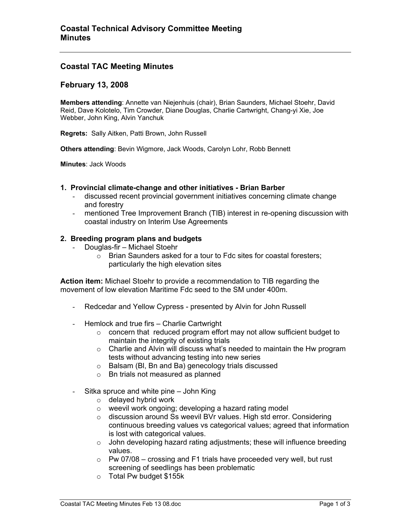# **Coastal TAC Meeting Minutes**

## **February 13, 2008**

**Members attending**: Annette van Niejenhuis (chair), Brian Saunders, Michael Stoehr, David Reid, Dave Kolotelo, Tim Crowder, Diane Douglas, Charlie Cartwright, Chang-yi Xie, Joe Webber, John King, Alvin Yanchuk

**Regrets:** Sally Aitken, Patti Brown, John Russell

**Others attending**: Bevin Wigmore, Jack Woods, Carolyn Lohr, Robb Bennett

**Minutes**: Jack Woods

#### **1. Provincial climate-change and other initiatives - Brian Barber**

- discussed recent provincial government initiatives concerning climate change and forestry
- mentioned Tree Improvement Branch (TIB) interest in re-opening discussion with coastal industry on Interim Use Agreements

### **2. Breeding program plans and budgets**

- Douglas-fir Michael Stoehr
	- o Brian Saunders asked for a tour to Fdc sites for coastal foresters; particularly the high elevation sites

**Action item:** Michael Stoehr to provide a recommendation to TIB regarding the movement of low elevation Maritime Fdc seed to the SM under 400m.

- Redcedar and Yellow Cypress presented by Alvin for John Russell
- Hemlock and true firs Charlie Cartwright
	- o concern that reduced program effort may not allow sufficient budget to maintain the integrity of existing trials
	- $\circ$  Charlie and Alvin will discuss what's needed to maintain the Hw program tests without advancing testing into new series
	- o Balsam (Bl, Bn and Ba) genecology trials discussed
	- o Bn trials not measured as planned
- Sitka spruce and white pine John King
	- o delayed hybrid work
	- o weevil work ongoing; developing a hazard rating model
	- o discussion around Ss weevil BVr values. High std error. Considering continuous breeding values vs categorical values; agreed that information is lost with categorical values.
	- $\circ$  John developing hazard rating adjustments; these will influence breeding values.
	- $\circ$  Pw 07/08 crossing and F1 trials have proceeded very well, but rust screening of seedlings has been problematic
	- o Total Pw budget \$155k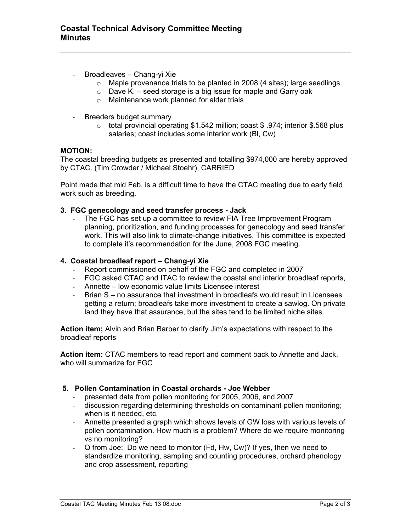- Broadleaves Chang-yi Xie
	- o Maple provenance trials to be planted in 2008 (4 sites); large seedlings
	- $\circ$  Dave K. seed storage is a big issue for maple and Garry oak
	- o Maintenance work planned for alder trials
- Breeders budget summary
	- o total provincial operating \$1.542 million; coast \$ .974; interior \$.568 plus salaries; coast includes some interior work (Bl, Cw)

### **MOTION:**

The coastal breeding budgets as presented and totalling \$974,000 are hereby approved by CTAC. (Tim Crowder / Michael Stoehr), CARRIED

Point made that mid Feb. is a difficult time to have the CTAC meeting due to early field work such as breeding.

### **3. FGC genecology and seed transfer process - Jack**

The FGC has set up a committee to review FIA Tree Improvement Program planning, prioritization, and funding processes for genecology and seed transfer work. This will also link to climate-change initiatives. This committee is expected to complete it's recommendation for the June, 2008 FGC meeting.

### **4. Coastal broadleaf report – Chang-yi Xie**

- Report commissioned on behalf of the FGC and completed in 2007
- FGC asked CTAC and ITAC to review the coastal and interior broadleaf reports,
- Annette low economic value limits Licensee interest
- Brian S no assurance that investment in broadleafs would result in Licensees getting a return; broadleafs take more investment to create a sawlog. On private land they have that assurance, but the sites tend to be limited niche sites.

**Action item;** Alvin and Brian Barber to clarify Jim's expectations with respect to the broadleaf reports

**Action item:** CTAC members to read report and comment back to Annette and Jack, who will summarize for FGC

### **5. Pollen Contamination in Coastal orchards - Joe Webber**

- presented data from pollen monitoring for 2005, 2006, and 2007
- discussion regarding determining thresholds on contaminant pollen monitoring; when is it needed, etc.
- Annette presented a graph which shows levels of GW loss with various levels of pollen contamination. How much is a problem? Where do we require monitoring vs no monitoring?
- Q from Joe: Do we need to monitor (Fd, Hw, Cw)? If yes, then we need to standardize monitoring, sampling and counting procedures, orchard phenology and crop assessment, reporting